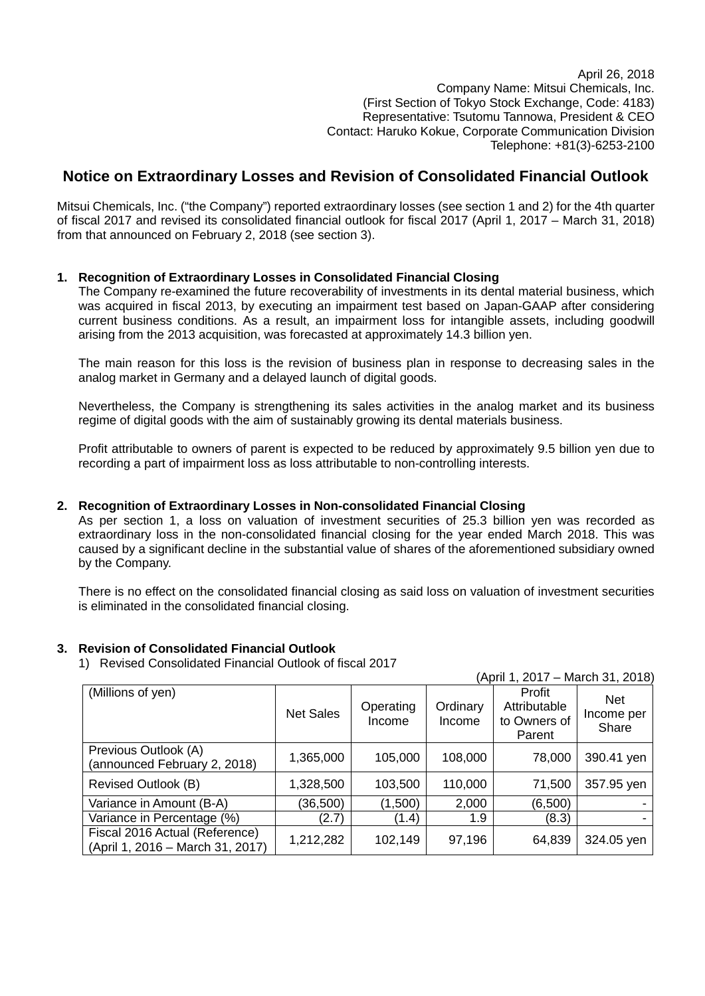April 26, 2018 Company Name: Mitsui Chemicals, Inc. (First Section of Tokyo Stock Exchange, Code: 4183) Representative: Tsutomu Tannowa, President & CEO Contact: Haruko Kokue, Corporate Communication Division Telephone: +81(3)-6253-2100

## **Notice on Extraordinary Losses and Revision of Consolidated Financial Outlook**

Mitsui Chemicals, Inc. ("the Company") reported extraordinary losses (see section 1 and 2) for the 4th quarter of fiscal 2017 and revised its consolidated financial outlook for fiscal 2017 (April 1, 2017 – March 31, 2018) from that announced on February 2, 2018 (see section 3).

## **1. Recognition of Extraordinary Losses in Consolidated Financial Closing**

The Company re-examined the future recoverability of investments in its dental material business, which was acquired in fiscal 2013, by executing an impairment test based on Japan-GAAP after considering current business conditions. As a result, an impairment loss for intangible assets, including goodwill arising from the 2013 acquisition, was forecasted at approximately 14.3 billion yen.

The main reason for this loss is the revision of business plan in response to decreasing sales in the analog market in Germany and a delayed launch of digital goods.

Nevertheless, the Company is strengthening its sales activities in the analog market and its business regime of digital goods with the aim of sustainably growing its dental materials business.

Profit attributable to owners of parent is expected to be reduced by approximately 9.5 billion yen due to recording a part of impairment loss as loss attributable to non-controlling interests.

## **2. Recognition of Extraordinary Losses in Non-consolidated Financial Closing**

As per section 1, a loss on valuation of investment securities of 25.3 billion yen was recorded as extraordinary loss in the non-consolidated financial closing for the year ended March 2018. This was caused by a significant decline in the substantial value of shares of the aforementioned subsidiary owned by the Company.

There is no effect on the consolidated financial closing as said loss on valuation of investment securities is eliminated in the consolidated financial closing.

## **3. Revision of Consolidated Financial Outlook**

1) Revised Consolidated Financial Outlook of fiscal 2017

| (April 1, 2017 – March 31, 2018)                                   |                  |                     |                    |                                                  |                            |
|--------------------------------------------------------------------|------------------|---------------------|--------------------|--------------------------------------------------|----------------------------|
| (Millions of yen)                                                  | <b>Net Sales</b> | Operating<br>Income | Ordinary<br>Income | Profit<br>Attributable<br>to Owners of<br>Parent | Net<br>Income per<br>Share |
| Previous Outlook (A)<br>(announced February 2, 2018)               | 1,365,000        | 105,000             | 108,000            | 78,000                                           | 390.41 yen                 |
| Revised Outlook (B)                                                | 1,328,500        | 103,500             | 110,000            | 71,500                                           | 357.95 yen                 |
| Variance in Amount (B-A)                                           | (36,500)         | (1,500)             | 2,000              | (6,500)                                          |                            |
| Variance in Percentage (%)                                         | (2.7)            | (1.4)               | 1.9                | (8.3)                                            |                            |
| Fiscal 2016 Actual (Reference)<br>(April 1, 2016 - March 31, 2017) | 1,212,282        | 102,149             | 97,196             | 64,839                                           | 324.05 yen                 |